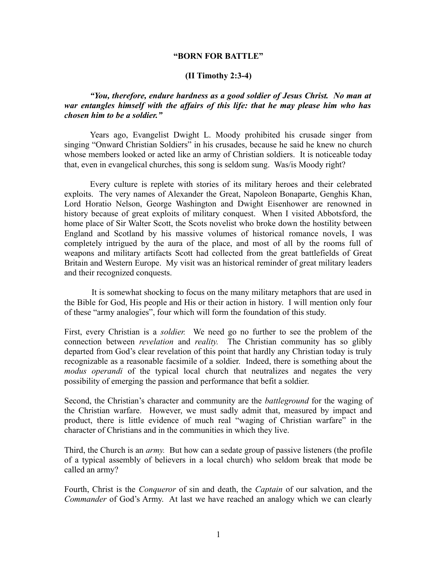#### **"BORN FOR BATTLE"**

#### **(II Timothy 2:3-4)**

# *"You, therefore, endure hardness as a good soldier of Jesus Christ. No man at war entangles himself with the affairs of this life: that he may please him who has chosen him to be a soldier."*

Years ago, Evangelist Dwight L. Moody prohibited his crusade singer from singing "Onward Christian Soldiers" in his crusades, because he said he knew no church whose members looked or acted like an army of Christian soldiers. It is noticeable today that, even in evangelical churches, this song is seldom sung. Was/is Moody right?

Every culture is replete with stories of its military heroes and their celebrated exploits. The very names of Alexander the Great, Napoleon Bonaparte, Genghis Khan, Lord Horatio Nelson, George Washington and Dwight Eisenhower are renowned in history because of great exploits of military conquest. When I visited Abbotsford, the home place of Sir Walter Scott, the Scots novelist who broke down the hostility between England and Scotland by his massive volumes of historical romance novels, I was completely intrigued by the aura of the place, and most of all by the rooms full of weapons and military artifacts Scott had collected from the great battlefields of Great Britain and Western Europe. My visit was an historical reminder of great military leaders and their recognized conquests.

 It is somewhat shocking to focus on the many military metaphors that are used in the Bible for God, His people and His or their action in history. I will mention only four of these "army analogies", four which will form the foundation of this study.

First, every Christian is a *soldier.* We need go no further to see the problem of the connection between *revelation* and *reality.* The Christian community has so glibly departed from God's clear revelation of this point that hardly any Christian today is truly recognizable as a reasonable facsimile of a soldier. Indeed, there is something about the *modus operandi* of the typical local church that neutralizes and negates the very possibility of emerging the passion and performance that befit a soldier.

Second, the Christian's character and community are the *battleground* for the waging of the Christian warfare. However, we must sadly admit that, measured by impact and product, there is little evidence of much real "waging of Christian warfare" in the character of Christians and in the communities in which they live.

Third, the Church is an *army.* But how can a sedate group of passive listeners (the profile of a typical assembly of believers in a local church) who seldom break that mode be called an army?

Fourth, Christ is the *Conqueror* of sin and death, the *Captain* of our salvation, and the *Commander* of God's Army. At last we have reached an analogy which we can clearly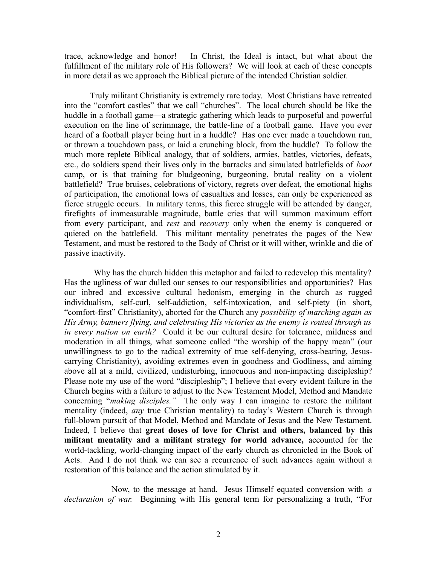trace, acknowledge and honor! In Christ, the Ideal is intact, but what about the fulfillment of the military role of His followers? We will look at each of these concepts in more detail as we approach the Biblical picture of the intended Christian soldier.

 Truly militant Christianity is extremely rare today. Most Christians have retreated into the "comfort castles" that we call "churches". The local church should be like the huddle in a football game—a strategic gathering which leads to purposeful and powerful execution on the line of scrimmage, the battle-line of a football game. Have you ever heard of a football player being hurt in a huddle? Has one ever made a touchdown run, or thrown a touchdown pass, or laid a crunching block, from the huddle? To follow the much more replete Biblical analogy, that of soldiers, armies, battles, victories, defeats, etc., do soldiers spend their lives only in the barracks and simulated battlefields of *boot* camp, or is that training for bludgeoning, burgeoning, brutal reality on a violent battlefield? True bruises, celebrations of victory, regrets over defeat, the emotional highs of participation, the emotional lows of casualties and losses, can only be experienced as fierce struggle occurs. In military terms, this fierce struggle will be attended by danger, firefights of immeasurable magnitude, battle cries that will summon maximum effort from every participant, and *rest* and *recovery* only when the enemy is conquered or quieted on the battlefield. This militant mentality penetrates the pages of the New Testament, and must be restored to the Body of Christ or it will wither, wrinkle and die of passive inactivity.

 Why has the church hidden this metaphor and failed to redevelop this mentality? Has the ugliness of war dulled our senses to our responsibilities and opportunities? Has our inbred and excessive cultural hedonism, emerging in the church as rugged individualism, self-curl, self-addiction, self-intoxication, and self-piety (in short, "comfort-first" Christianity), aborted for the Church any *possibility of marching again as His Army, banners flying, and celebrating His victories as the enemy is routed through us in every nation on earth?* Could it be our cultural desire for tolerance, mildness and moderation in all things, what someone called "the worship of the happy mean" (our unwillingness to go to the radical extremity of true self-denying, cross-bearing, Jesuscarrying Christianity), avoiding extremes even in goodness and Godliness, and aiming above all at a mild, civilized, undisturbing, innocuous and non-impacting discipleship? Please note my use of the word "discipleship"; I believe that every evident failure in the Church begins with a failure to adjust to the New Testament Model, Method and Mandate concerning "*making disciples."* The only way I can imagine to restore the militant mentality (indeed, *any* true Christian mentality) to today's Western Church is through full-blown pursuit of that Model, Method and Mandate of Jesus and the New Testament. Indeed, I believe that **great doses of love for Christ and others, balanced by this militant mentality and a militant strategy for world advance,** accounted for the world-tackling, world-changing impact of the early church as chronicled in the Book of Acts. And I do not think we can see a recurrence of such advances again without a restoration of this balance and the action stimulated by it.

 Now, to the message at hand. Jesus Himself equated conversion with *a declaration of war.* Beginning with His general term for personalizing a truth, "For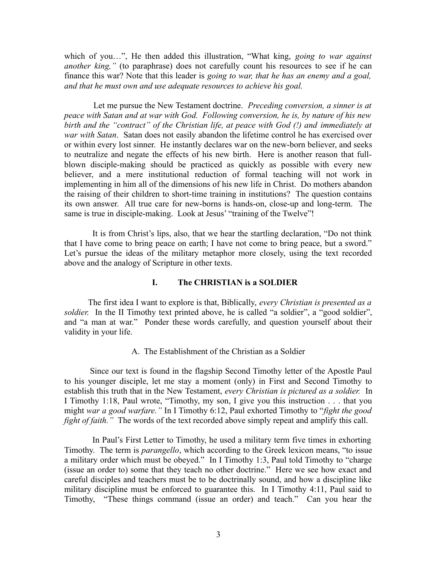which of you…", He then added this illustration, "What king, *going to war against another king,*" (to paraphrase) does not carefully count his resources to see if he can finance this war? Note that this leader is *going to war, that he has an enemy and a goal, and that he must own and use adequate resources to achieve his goal.* 

Let me pursue the New Testament doctrine. *Preceding conversion, a sinner is at peace with Satan and at war with God. Following conversion, he is, by nature of his new birth and the "contract" of the Christian life, at peace with God (!) and immediately at war with Satan*. Satan does not easily abandon the lifetime control he has exercised over or within every lost sinner. He instantly declares war on the new-born believer, and seeks to neutralize and negate the effects of his new birth. Here is another reason that fullblown disciple-making should be practiced as quickly as possible with every new believer, and a mere institutional reduction of formal teaching will not work in implementing in him all of the dimensions of his new life in Christ. Do mothers abandon the raising of their children to short-time training in institutions? The question contains its own answer. All true care for new-borns is hands-on, close-up and long-term. The same is true in disciple-making. Look at Jesus' "training of the Twelve"!

 It is from Christ's lips, also, that we hear the startling declaration, "Do not think that I have come to bring peace on earth; I have not come to bring peace, but a sword." Let's pursue the ideas of the military metaphor more closely, using the text recorded above and the analogy of Scripture in other texts.

# **I. The CHRISTIAN is a SOLDIER**

 The first idea I want to explore is that, Biblically, *every Christian is presented as a* soldier. In the II Timothy text printed above, he is called "a soldier", a "good soldier", and "a man at war." Ponder these words carefully, and question yourself about their validity in your life.

A. The Establishment of the Christian as a Soldier

Since our text is found in the flagship Second Timothy letter of the Apostle Paul to his younger disciple, let me stay a moment (only) in First and Second Timothy to establish this truth that in the New Testament, *every Christian is pictured as a soldier.* In I Timothy 1:18, Paul wrote, "Timothy, my son, I give you this instruction . . . that you might *war a good warfare."* In I Timothy 6:12, Paul exhorted Timothy to "*fight the good fight of faith.*" The words of the text recorded above simply repeat and amplify this call.

 In Paul's First Letter to Timothy, he used a military term five times in exhorting Timothy. The term is *parangello*, which according to the Greek lexicon means, "to issue a military order which must be obeyed." In I Timothy 1:3, Paul told Timothy to "charge (issue an order to) some that they teach no other doctrine." Here we see how exact and careful disciples and teachers must be to be doctrinally sound, and how a discipline like military discipline must be enforced to guarantee this. In I Timothy 4:11, Paul said to Timothy, "These things command (issue an order) and teach." Can you hear the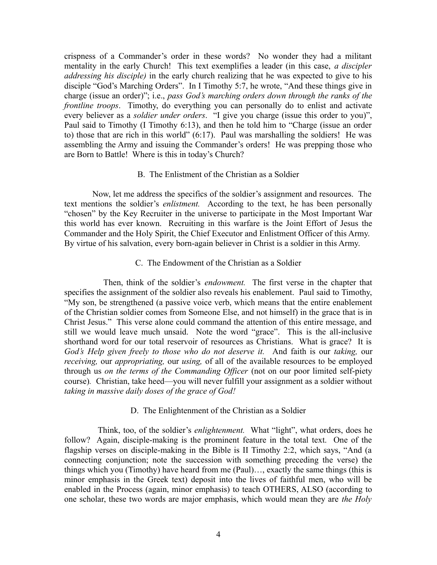crispness of a Commander's order in these words? No wonder they had a militant mentality in the early Church! This text exemplifies a leader (in this case, *a discipler addressing his disciple)* in the early church realizing that he was expected to give to his disciple "God's Marching Orders". In I Timothy 5:7, he wrote, "And these things give in charge (issue an order)"; i.e., *pass God's marching orders down through the ranks of the frontline troops*. Timothy, do everything you can personally do to enlist and activate every believer as a *soldier under orders*. "I give you charge (issue this order to you)", Paul said to Timothy (I Timothy 6:13), and then he told him to "Charge (issue an order to) those that are rich in this world" (6:17). Paul was marshalling the soldiers! He was assembling the Army and issuing the Commander's orders! He was prepping those who are Born to Battle! Where is this in today's Church?

### B. The Enlistment of the Christian as a Soldier

 Now, let me address the specifics of the soldier's assignment and resources. The text mentions the soldier's *enlistment.* According to the text, he has been personally "chosen" by the Key Recruiter in the universe to participate in the Most Important War this world has ever known. Recruiting in this warfare is the Joint Effort of Jesus the Commander and the Holy Spirit, the Chief Executor and Enlistment Officer of this Army. By virtue of his salvation, every born-again believer in Christ is a soldier in this Army.

### C. The Endowment of the Christian as a Soldier

 Then, think of the soldier's *endowment.* The first verse in the chapter that specifies the assignment of the soldier also reveals his enablement. Paul said to Timothy, "My son, be strengthened (a passive voice verb, which means that the entire enablement of the Christian soldier comes from Someone Else, and not himself) in the grace that is in Christ Jesus." This verse alone could command the attention of this entire message, and still we would leave much unsaid. Note the word "grace". This is the all-inclusive shorthand word for our total reservoir of resources as Christians. What is grace? It is *God's Help given freely to those who do not deserve it.* And faith is our *taking,* our *receiving,* our *appropriating,* our *using,* of all of the available resources to be employed through us *on the terms of the Commanding Officer* (not on our poor limited self-piety course)*.* Christian, take heed—you will never fulfill your assignment as a soldier without *taking in massive daily doses of the grace of God!* 

## D. The Enlightenment of the Christian as a Soldier

Think, too, of the soldier's *enlightenment.* What "light", what orders, does he follow? Again, disciple-making is the prominent feature in the total text. One of the flagship verses on disciple-making in the Bible is II Timothy 2:2, which says, "And (a connecting conjunction; note the succession with something preceding the verse) the things which you (Timothy) have heard from me (Paul)…, exactly the same things (this is minor emphasis in the Greek text) deposit into the lives of faithful men, who will be enabled in the Process (again, minor emphasis) to teach OTHERS, ALSO (according to one scholar, these two words are major emphasis, which would mean they are *the Holy*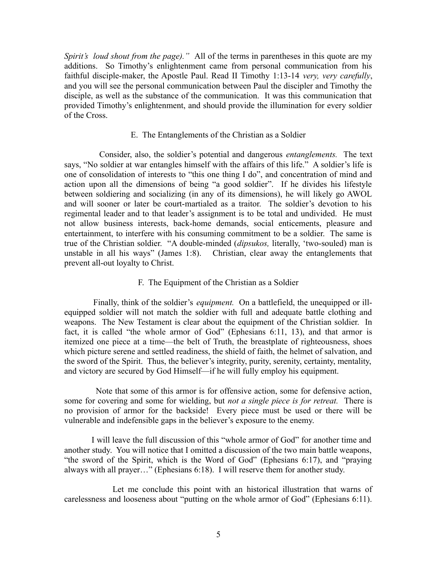*Spirit's loud shout from the page)."* All of the terms in parentheses in this quote are my additions. So Timothy's enlightenment came from personal communication from his faithful disciple-maker, the Apostle Paul. Read II Timothy 1:13-14 *very, very carefully*, and you will see the personal communication between Paul the discipler and Timothy the disciple, as well as the substance of the communication. It was this communication that provided Timothy's enlightenment, and should provide the illumination for every soldier of the Cross.

#### E. The Entanglements of the Christian as a Soldier

 Consider, also, the soldier's potential and dangerous *entanglements.* The text says, "No soldier at war entangles himself with the affairs of this life." A soldier's life is one of consolidation of interests to "this one thing I do", and concentration of mind and action upon all the dimensions of being "a good soldier". If he divides his lifestyle between soldiering and socializing (in any of its dimensions), he will likely go AWOL and will sooner or later be court-martialed as a traitor. The soldier's devotion to his regimental leader and to that leader's assignment is to be total and undivided. He must not allow business interests, back-home demands, social enticements, pleasure and entertainment, to interfere with his consuming commitment to be a soldier. The same is true of the Christian soldier. "A double-minded (*dipsukos,* literally, 'two-souled) man is unstable in all his ways" (James 1:8). Christian, clear away the entanglements that prevent all-out loyalty to Christ.

## F. The Equipment of the Christian as a Soldier

 Finally, think of the soldier's *equipment.* On a battlefield, the unequipped or illequipped soldier will not match the soldier with full and adequate battle clothing and weapons. The New Testament is clear about the equipment of the Christian soldier. In fact, it is called "the whole armor of God" (Ephesians 6:11, 13), and that armor is itemized one piece at a time—the belt of Truth, the breastplate of righteousness, shoes which picture serene and settled readiness, the shield of faith, the helmet of salvation, and the sword of the Spirit. Thus, the believer's integrity, purity, serenity, certainty, mentality, and victory are secured by God Himself—if he will fully employ his equipment.

 Note that some of this armor is for offensive action, some for defensive action, some for covering and some for wielding, but *not a single piece is for retreat.* There is no provision of armor for the backside! Every piece must be used or there will be vulnerable and indefensible gaps in the believer's exposure to the enemy.

 I will leave the full discussion of this "whole armor of God" for another time and another study. You will notice that I omitted a discussion of the two main battle weapons, "the sword of the Spirit, which is the Word of God" (Ephesians 6:17), and "praying always with all prayer…" (Ephesians 6:18). I will reserve them for another study.

 Let me conclude this point with an historical illustration that warns of carelessness and looseness about "putting on the whole armor of God" (Ephesians 6:11).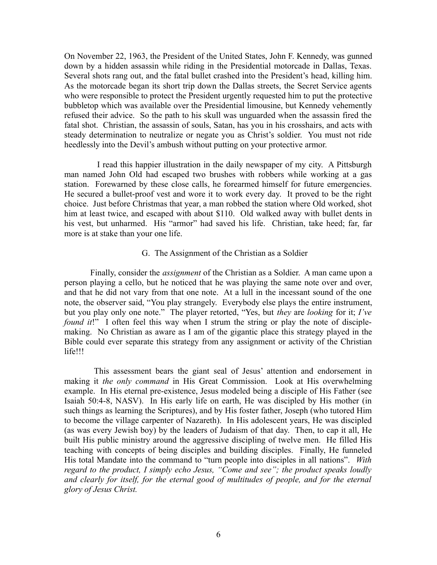On November 22, 1963, the President of the United States, John F. Kennedy, was gunned down by a hidden assassin while riding in the Presidential motorcade in Dallas, Texas. Several shots rang out, and the fatal bullet crashed into the President's head, killing him. As the motorcade began its short trip down the Dallas streets, the Secret Service agents who were responsible to protect the President urgently requested him to put the protective bubbletop which was available over the Presidential limousine, but Kennedy vehemently refused their advice. So the path to his skull was unguarded when the assassin fired the fatal shot. Christian, the assassin of souls, Satan, has you in his crosshairs, and acts with steady determination to neutralize or negate you as Christ's soldier. You must not ride heedlessly into the Devil's ambush without putting on your protective armor.

 I read this happier illustration in the daily newspaper of my city. A Pittsburgh man named John Old had escaped two brushes with robbers while working at a gas station. Forewarned by these close calls, he forearmed himself for future emergencies. He secured a bullet-proof vest and wore it to work every day. It proved to be the right choice. Just before Christmas that year, a man robbed the station where Old worked, shot him at least twice, and escaped with about \$110. Old walked away with bullet dents in his vest, but unharmed. His "armor" had saved his life. Christian, take heed; far, far more is at stake than your one life.

### G. The Assignment of the Christian as a Soldier

 Finally, consider the *assignment* of the Christian as a Soldier. A man came upon a person playing a cello, but he noticed that he was playing the same note over and over, and that he did not vary from that one note. At a lull in the incessant sound of the one note, the observer said, "You play strangely. Everybody else plays the entire instrument, but you play only one note." The player retorted, "Yes, but *they* are *looking* for it; *I've found it!*" I often feel this way when I strum the string or play the note of disciplemaking. No Christian as aware as I am of the gigantic place this strategy played in the Bible could ever separate this strategy from any assignment or activity of the Christian life!!!

 This assessment bears the giant seal of Jesus' attention and endorsement in making it *the only command* in His Great Commission. Look at His overwhelming example. In His eternal pre-existence, Jesus modeled being a disciple of His Father (see Isaiah 50:4-8, NASV). In His early life on earth, He was discipled by His mother (in such things as learning the Scriptures), and by His foster father, Joseph (who tutored Him to become the village carpenter of Nazareth). In His adolescent years, He was discipled (as was every Jewish boy) by the leaders of Judaism of that day. Then, to cap it all, He built His public ministry around the aggressive discipling of twelve men. He filled His teaching with concepts of being disciples and building disciples. Finally, He funneled His total Mandate into the command to "turn people into disciples in all nations". *With regard to the product, I simply echo Jesus, "Come and see"; the product speaks loudly and clearly for itself, for the eternal good of multitudes of people, and for the eternal glory of Jesus Christ.*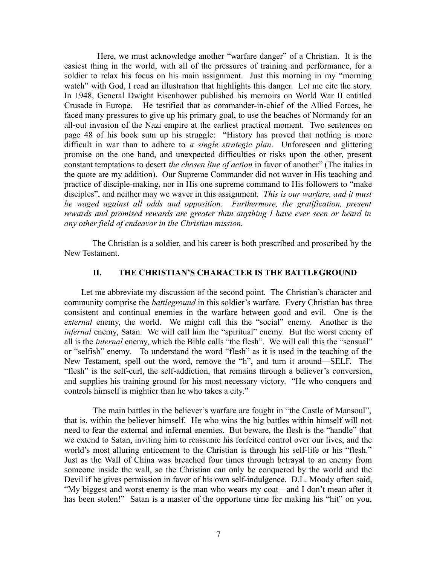Here, we must acknowledge another "warfare danger" of a Christian. It is the easiest thing in the world, with all of the pressures of training and performance, for a soldier to relax his focus on his main assignment. Just this morning in my "morning watch" with God, I read an illustration that highlights this danger. Let me cite the story. In 1948, General Dwight Eisenhower published his memoirs on World War II entitled Crusade in Europe. He testified that as commander-in-chief of the Allied Forces, he faced many pressures to give up his primary goal, to use the beaches of Normandy for an all-out invasion of the Nazi empire at the earliest practical moment. Two sentences on page 48 of his book sum up his struggle: "History has proved that nothing is more difficult in war than to adhere to *a single strategic plan*. Unforeseen and glittering promise on the one hand, and unexpected difficulties or risks upon the other, present constant temptations to desert *the chosen line of action* in favor of another" (The italics in the quote are my addition). Our Supreme Commander did not waver in His teaching and practice of disciple-making, nor in His one supreme command to His followers to "make disciples", and neither may we waver in this assignment. *This is our warfare, and it must be waged against all odds and opposition. Furthermore, the gratification, present rewards and promised rewards are greater than anything I have ever seen or heard in any other field of endeavor in the Christian mission.* 

 The Christian is a soldier, and his career is both prescribed and proscribed by the New Testament.

## **II. THE CHRISTIAN'S CHARACTER IS THE BATTLEGROUND**

 Let me abbreviate my discussion of the second point. The Christian's character and community comprise the *battleground* in this soldier's warfare. Every Christian has three consistent and continual enemies in the warfare between good and evil. One is the *external* enemy, the world. We might call this the "social" enemy. Another is the *infernal* enemy, Satan. We will call him the "spiritual" enemy. But the worst enemy of all is the *internal* enemy, which the Bible calls "the flesh". We will call this the "sensual" or "selfish" enemy. To understand the word "flesh" as it is used in the teaching of the New Testament, spell out the word, remove the "h", and turn it around—SELF. The "flesh" is the self-curl, the self-addiction, that remains through a believer's conversion, and supplies his training ground for his most necessary victory. "He who conquers and controls himself is mightier than he who takes a city."

 The main battles in the believer's warfare are fought in "the Castle of Mansoul", that is, within the believer himself. He who wins the big battles within himself will not need to fear the external and infernal enemies. But beware, the flesh is the "handle" that we extend to Satan, inviting him to reassume his forfeited control over our lives, and the world's most alluring enticement to the Christian is through his self-life or his "flesh." Just as the Wall of China was breached four times through betrayal to an enemy from someone inside the wall, so the Christian can only be conquered by the world and the Devil if he gives permission in favor of his own self-indulgence. D.L. Moody often said, "My biggest and worst enemy is the man who wears my coat—and I don't mean after it has been stolen!" Satan is a master of the opportune time for making his "hit" on you,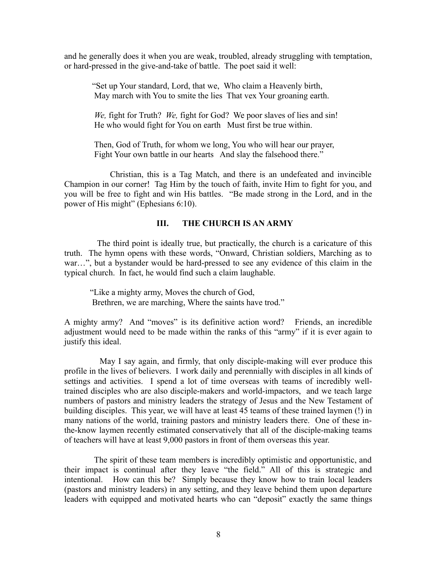and he generally does it when you are weak, troubled, already struggling with temptation, or hard-pressed in the give-and-take of battle. The poet said it well:

 "Set up Your standard, Lord, that we, Who claim a Heavenly birth, May march with You to smite the lies That vex Your groaning earth.

 *We,* fight for Truth? *We,* fight for God? We poor slaves of lies and sin! He who would fight for You on earth Must first be true within.

 Then, God of Truth, for whom we long, You who will hear our prayer, Fight Your own battle in our hearts And slay the falsehood there."

 Christian, this is a Tag Match, and there is an undefeated and invincible Champion in our corner! Tag Him by the touch of faith, invite Him to fight for you, and you will be free to fight and win His battles. "Be made strong in the Lord, and in the power of His might" (Ephesians 6:10).

# **III. THE CHURCH IS AN ARMY**

 The third point is ideally true, but practically, the church is a caricature of this truth. The hymn opens with these words, "Onward, Christian soldiers, Marching as to war…", but a bystander would be hard-pressed to see any evidence of this claim in the typical church. In fact, he would find such a claim laughable.

"Like a mighty army, Moves the church of God, Brethren, we are marching, Where the saints have trod."

A mighty army? And "moves" is its definitive action word? Friends, an incredible adjustment would need to be made within the ranks of this "army" if it is ever again to justify this ideal.

 May I say again, and firmly, that only disciple-making will ever produce this profile in the lives of believers. I work daily and perennially with disciples in all kinds of settings and activities. I spend a lot of time overseas with teams of incredibly welltrained disciples who are also disciple-makers and world-impactors, and we teach large numbers of pastors and ministry leaders the strategy of Jesus and the New Testament of building disciples. This year, we will have at least 45 teams of these trained laymen (!) in many nations of the world, training pastors and ministry leaders there. One of these inthe-know laymen recently estimated conservatively that all of the disciple-making teams of teachers will have at least 9,000 pastors in front of them overseas this year.

 The spirit of these team members is incredibly optimistic and opportunistic, and their impact is continual after they leave "the field." All of this is strategic and intentional. How can this be? Simply because they know how to train local leaders (pastors and ministry leaders) in any setting, and they leave behind them upon departure leaders with equipped and motivated hearts who can "deposit" exactly the same things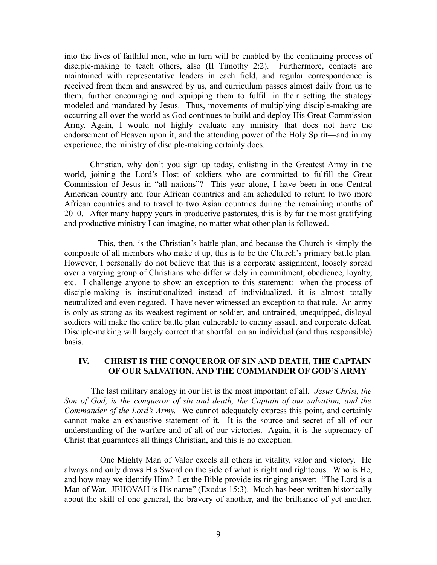into the lives of faithful men, who in turn will be enabled by the continuing process of disciple-making to teach others, also (II Timothy 2:2). Furthermore, contacts are maintained with representative leaders in each field, and regular correspondence is received from them and answered by us, and curriculum passes almost daily from us to them, further encouraging and equipping them to fulfill in their setting the strategy modeled and mandated by Jesus. Thus, movements of multiplying disciple-making are occurring all over the world as God continues to build and deploy His Great Commission Army. Again, I would not highly evaluate any ministry that does not have the endorsement of Heaven upon it, and the attending power of the Holy Spirit—and in my experience, the ministry of disciple-making certainly does.

Christian, why don't you sign up today, enlisting in the Greatest Army in the world, joining the Lord's Host of soldiers who are committed to fulfill the Great Commission of Jesus in "all nations"? This year alone, I have been in one Central American country and four African countries and am scheduled to return to two more African countries and to travel to two Asian countries during the remaining months of 2010. After many happy years in productive pastorates, this is by far the most gratifying and productive ministry I can imagine, no matter what other plan is followed.

This, then, is the Christian's battle plan, and because the Church is simply the composite of all members who make it up, this is to be the Church's primary battle plan. However, I personally do not believe that this is a corporate assignment, loosely spread over a varying group of Christians who differ widely in commitment, obedience, loyalty, etc. I challenge anyone to show an exception to this statement: when the process of disciple-making is institutionalized instead of individualized, it is almost totally neutralized and even negated. I have never witnessed an exception to that rule. An army is only as strong as its weakest regiment or soldier, and untrained, unequipped, disloyal soldiers will make the entire battle plan vulnerable to enemy assault and corporate defeat. Disciple-making will largely correct that shortfall on an individual (and thus responsible) basis.

# **IV. CHRIST IS THE CONQUEROR OF SIN AND DEATH, THE CAPTAIN OF OUR SALVATION, AND THE COMMANDER OF GOD'S ARMY**

 The last military analogy in our list is the most important of all. *Jesus Christ, the Son of God, is the conqueror of sin and death, the Captain of our salvation, and the Commander of the Lord's Army.* We cannot adequately express this point, and certainly cannot make an exhaustive statement of it. It is the source and secret of all of our understanding of the warfare and of all of our victories. Again, it is the supremacy of Christ that guarantees all things Christian, and this is no exception.

 One Mighty Man of Valor excels all others in vitality, valor and victory. He always and only draws His Sword on the side of what is right and righteous. Who is He, and how may we identify Him? Let the Bible provide its ringing answer: "The Lord is a Man of War. JEHOVAH is His name" (Exodus 15:3). Much has been written historically about the skill of one general, the bravery of another, and the brilliance of yet another.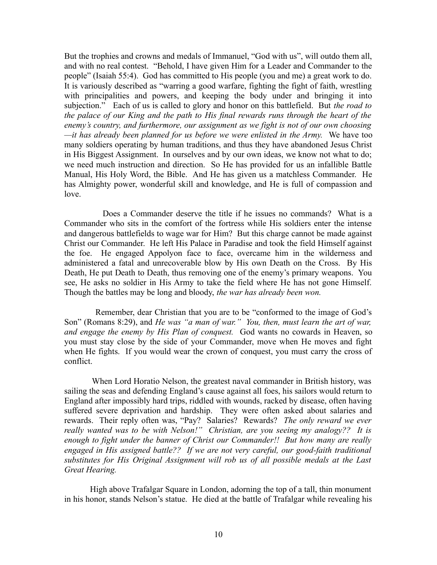But the trophies and crowns and medals of Immanuel, "God with us", will outdo them all, and with no real contest. "Behold, I have given Him for a Leader and Commander to the people" (Isaiah 55:4). God has committed to His people (you and me) a great work to do. It is variously described as "warring a good warfare, fighting the fight of faith, wrestling with principalities and powers, and keeping the body under and bringing it into subjection." Each of us is called to glory and honor on this battlefield. But *the road to the palace of our King and the path to His final rewards runs through the heart of the enemy's country, and furthermore, our assignment as we fight is not of our own choosing —it has already been planned for us before we were enlisted in the Army.* We have too many soldiers operating by human traditions, and thus they have abandoned Jesus Christ in His Biggest Assignment. In ourselves and by our own ideas, we know not what to do; we need much instruction and direction. So He has provided for us an infallible Battle Manual, His Holy Word, the Bible. And He has given us a matchless Commander. He has Almighty power, wonderful skill and knowledge, and He is full of compassion and love.

 Does a Commander deserve the title if he issues no commands? What is a Commander who sits in the comfort of the fortress while His soldiers enter the intense and dangerous battlefields to wage war for Him? But this charge cannot be made against Christ our Commander. He left His Palace in Paradise and took the field Himself against the foe. He engaged Appolyon face to face, overcame him in the wilderness and administered a fatal and unrecoverable blow by His own Death on the Cross. By His Death, He put Death to Death, thus removing one of the enemy's primary weapons. You see, He asks no soldier in His Army to take the field where He has not gone Himself. Though the battles may be long and bloody, *the war has already been won.* 

 Remember, dear Christian that you are to be "conformed to the image of God's Son" (Romans 8:29), and *He was "a man of war." You, then, must learn the art of war, and engage the enemy by His Plan of conquest.* God wants no cowards in Heaven, so you must stay close by the side of your Commander, move when He moves and fight when He fights. If you would wear the crown of conquest, you must carry the cross of conflict.

 When Lord Horatio Nelson, the greatest naval commander in British history, was sailing the seas and defending England's cause against all foes, his sailors would return to England after impossibly hard trips, riddled with wounds, racked by disease, often having suffered severe deprivation and hardship. They were often asked about salaries and rewards. Their reply often was, "Pay? Salaries? Rewards? *The only reward we ever really wanted was to be with Nelson!" Christian, are you seeing my analogy?? It is enough to fight under the banner of Christ our Commander!! But how many are really engaged in His assigned battle?? If we are not very careful, our good-faith traditional substitutes for His Original Assignment will rob us of all possible medals at the Last Great Hearing.* 

 High above Trafalgar Square in London, adorning the top of a tall, thin monument in his honor, stands Nelson's statue. He died at the battle of Trafalgar while revealing his